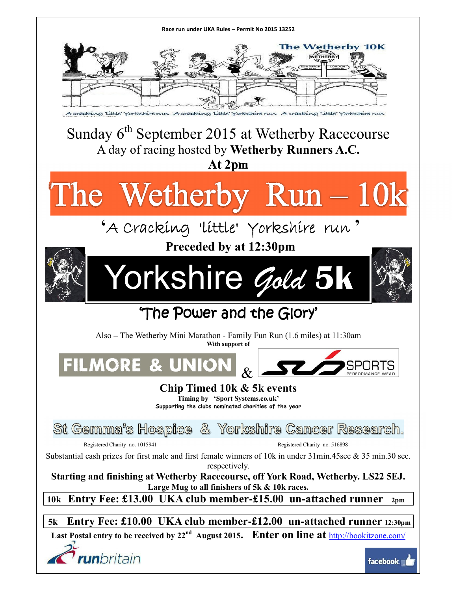